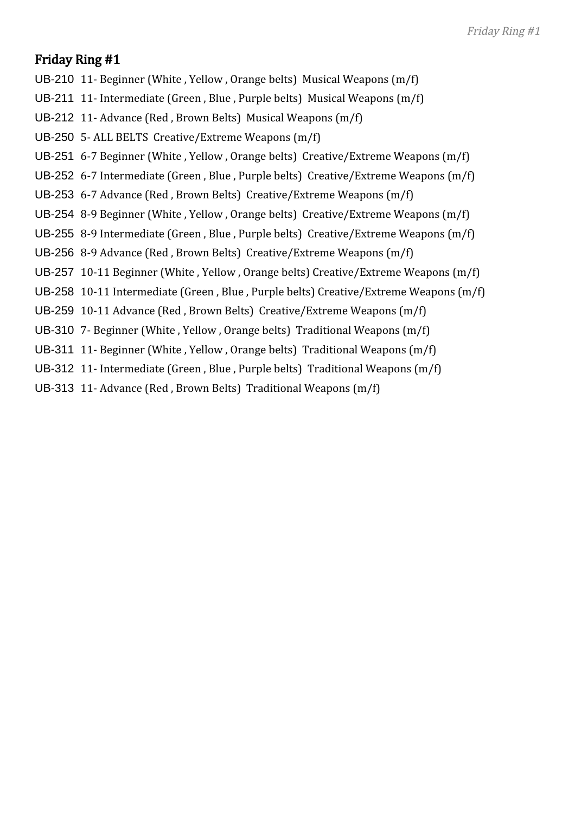- UB-210 11- Beginner (White , Yellow , Orange belts) Musical Weapons (m/f)
- UB-211 11- Intermediate (Green , Blue , Purple belts) Musical Weapons (m/f)
- UB-212 11- Advance (Red , Brown Belts) Musical Weapons (m/f)
- UB-250 5- ALL BELTS Creative/Extreme Weapons (m/f)
- UB-251 6-7 Beginner (White , Yellow , Orange belts) Creative/Extreme Weapons (m/f)
- UB-252 6-7 Intermediate (Green , Blue , Purple belts) Creative/Extreme Weapons (m/f)
- UB-253 6-7 Advance (Red , Brown Belts) Creative/Extreme Weapons (m/f)
- UB-254 8-9 Beginner (White , Yellow , Orange belts) Creative/Extreme Weapons (m/f)
- UB-255 8-9 Intermediate (Green , Blue , Purple belts) Creative/Extreme Weapons (m/f)
- UB-256 8-9 Advance (Red , Brown Belts) Creative/Extreme Weapons (m/f)
- UB-257 10-11 Beginner (White , Yellow , Orange belts) Creative/Extreme Weapons (m/f)
- UB-258 10-11 Intermediate (Green , Blue , Purple belts) Creative/Extreme Weapons (m/f)
- UB-259 10-11 Advance (Red , Brown Belts) Creative/Extreme Weapons (m/f)
- UB-310 7- Beginner (White , Yellow , Orange belts) Traditional Weapons (m/f)
- UB-311 11- Beginner (White , Yellow , Orange belts) Traditional Weapons (m/f)
- UB-312 11- Intermediate (Green , Blue , Purple belts) Traditional Weapons (m/f)
- UB-313 11- Advance (Red , Brown Belts) Traditional Weapons (m/f)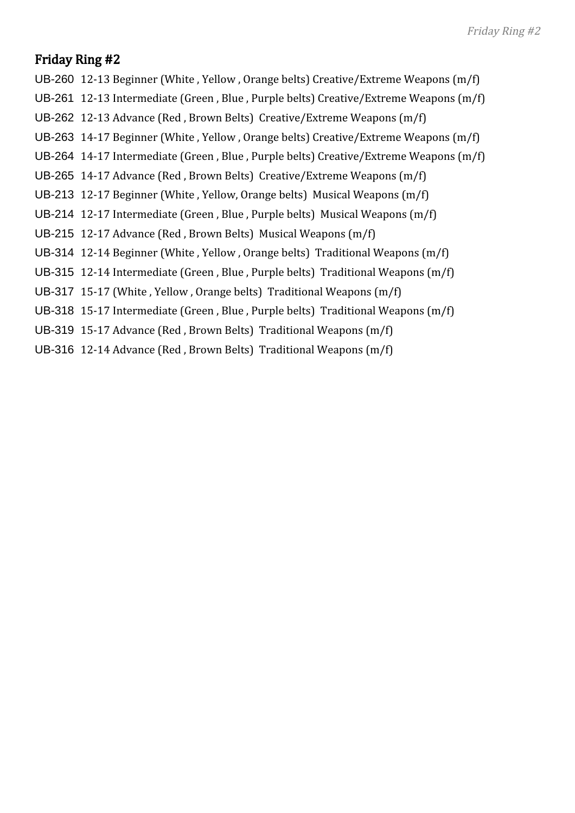- UB-260 12-13 Beginner (White , Yellow , Orange belts) Creative/Extreme Weapons (m/f)
- UB-261 12-13 Intermediate (Green , Blue , Purple belts) Creative/Extreme Weapons (m/f)
- UB-262 12-13 Advance (Red , Brown Belts) Creative/Extreme Weapons (m/f)
- UB-263 14-17 Beginner (White , Yellow , Orange belts) Creative/Extreme Weapons (m/f)
- UB-264 14-17 Intermediate (Green , Blue , Purple belts) Creative/Extreme Weapons (m/f)
- UB-265 14-17 Advance (Red , Brown Belts) Creative/Extreme Weapons (m/f)
- UB-213 12-17 Beginner (White , Yellow, Orange belts) Musical Weapons (m/f)
- UB-214 12-17 Intermediate (Green , Blue , Purple belts) Musical Weapons (m/f)
- UB-215 12-17 Advance (Red , Brown Belts) Musical Weapons (m/f)
- UB-314 12-14 Beginner (White , Yellow , Orange belts) Traditional Weapons (m/f)
- UB-315 12-14 Intermediate (Green , Blue , Purple belts) Traditional Weapons (m/f)
- UB-317 15-17 (White , Yellow , Orange belts) Traditional Weapons (m/f)
- UB-318 15-17 Intermediate (Green , Blue , Purple belts) Traditional Weapons (m/f)
- UB-319 15-17 Advance (Red , Brown Belts) Traditional Weapons (m/f)
- UB-316 12-14 Advance (Red , Brown Belts) Traditional Weapons (m/f)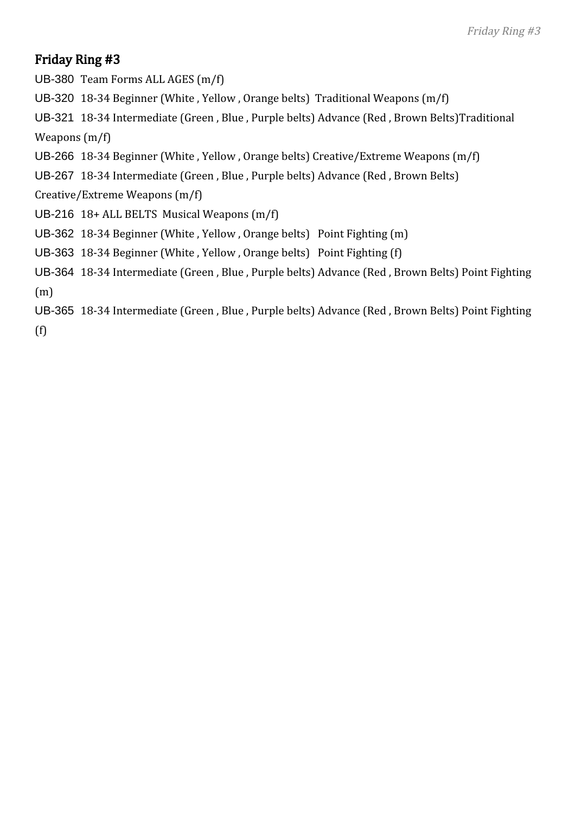UB-380 Team Forms ALL AGES (m/f)

UB-320 18-34 Beginner (White , Yellow , Orange belts) Traditional Weapons (m/f)

UB-321 18-34 Intermediate (Green , Blue , Purple belts) Advance (Red , Brown Belts)Traditional Weapons (m/f)

- UB-266 18-34 Beginner (White , Yellow , Orange belts) Creative/Extreme Weapons (m/f)
- UB-267 18-34 Intermediate (Green , Blue , Purple belts) Advance (Red , Brown Belts)

Creative/Extreme Weapons (m/f)

- UB-216 18+ ALL BELTS Musical Weapons (m/f)
- UB-362 18-34 Beginner (White , Yellow , Orange belts) Point Fighting (m)
- UB-363 18-34 Beginner (White , Yellow , Orange belts) Point Fighting (f)
- UB-364 18-34 Intermediate (Green , Blue , Purple belts) Advance (Red , Brown Belts) Point Fighting (m)
- UB-365 18-34 Intermediate (Green , Blue , Purple belts) Advance (Red , Brown Belts) Point Fighting

(f)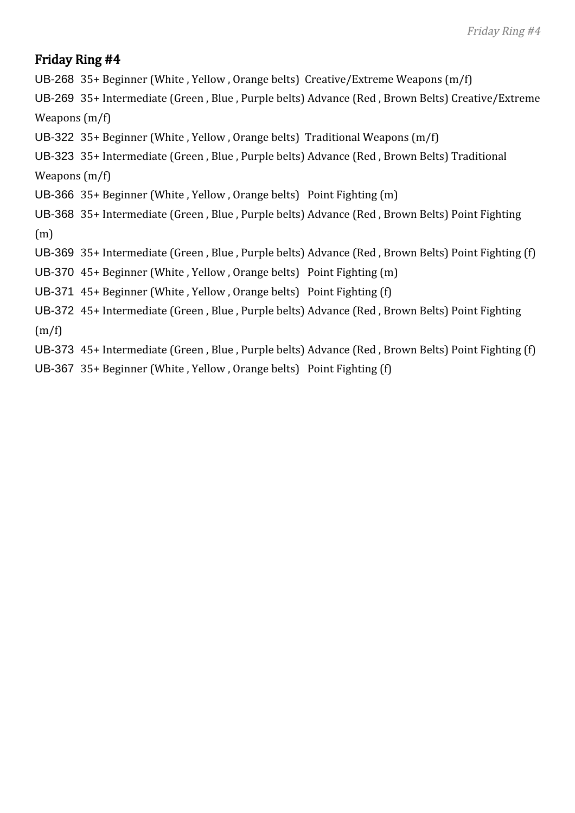UB-268 35+ Beginner (White , Yellow , Orange belts) Creative/Extreme Weapons (m/f)

UB-269 35+ Intermediate (Green , Blue , Purple belts) Advance (Red , Brown Belts) Creative/Extreme Weapons (m/f)

UB-322 35+ Beginner (White , Yellow , Orange belts) Traditional Weapons (m/f)

UB-323 35+ Intermediate (Green , Blue , Purple belts) Advance (Red , Brown Belts) Traditional

Weapons (m/f)

UB-366 35+ Beginner (White , Yellow , Orange belts) Point Fighting (m)

UB-368 35+ Intermediate (Green , Blue , Purple belts) Advance (Red , Brown Belts) Point Fighting (m)

UB-369 35+ Intermediate (Green , Blue , Purple belts) Advance (Red , Brown Belts) Point Fighting (f)

UB-370 45+ Beginner (White , Yellow , Orange belts) Point Fighting (m)

UB-371 45+ Beginner (White , Yellow , Orange belts) Point Fighting (f)

UB-372 45+ Intermediate (Green , Blue , Purple belts) Advance (Red , Brown Belts) Point Fighting  $(m/f)$ 

UB-373 45+ Intermediate (Green , Blue , Purple belts) Advance (Red , Brown Belts) Point Fighting (f)

UB-367 35+ Beginner (White , Yellow , Orange belts) Point Fighting (f)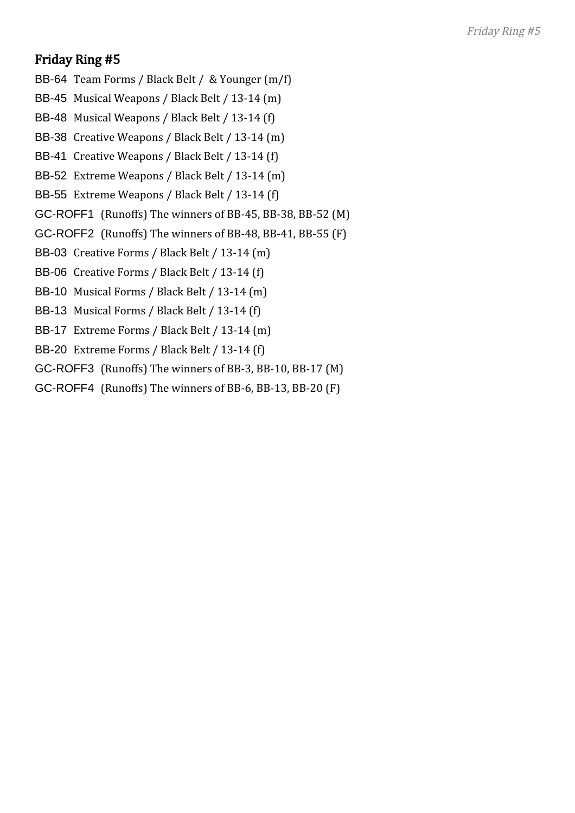- BB-64 Team Forms / Black Belt / & Younger (m/f)
- BB-45 Musical Weapons / Black Belt / 13-14 (m)
- BB-48 Musical Weapons / Black Belt / 13-14 (f)
- BB-38 Creative Weapons / Black Belt / 13-14 (m)
- BB-41 Creative Weapons / Black Belt / 13-14 (f)
- BB-52 Extreme Weapons / Black Belt / 13-14 (m)
- BB-55 Extreme Weapons / Black Belt / 13-14 (f)
- GC-ROFF1 (Runoffs) The winners of BB-45, BB-38, BB-52 (M)
- GC-ROFF2 (Runoffs) The winners of BB-48, BB-41, BB-55 (F)
- BB-03 Creative Forms / Black Belt / 13-14 (m)
- BB-06 Creative Forms / Black Belt / 13-14 (f)
- BB-10 Musical Forms / Black Belt / 13-14 (m)
- BB-13 Musical Forms / Black Belt / 13-14 (f)
- BB-17 Extreme Forms / Black Belt / 13-14 (m)
- BB-20 Extreme Forms / Black Belt / 13-14 (f)
- GC-ROFF3 (Runoffs) The winners of BB-3, BB-10, BB-17 (M)
- GC-ROFF4 (Runoffs) The winners of BB-6, BB-13, BB-20 (F)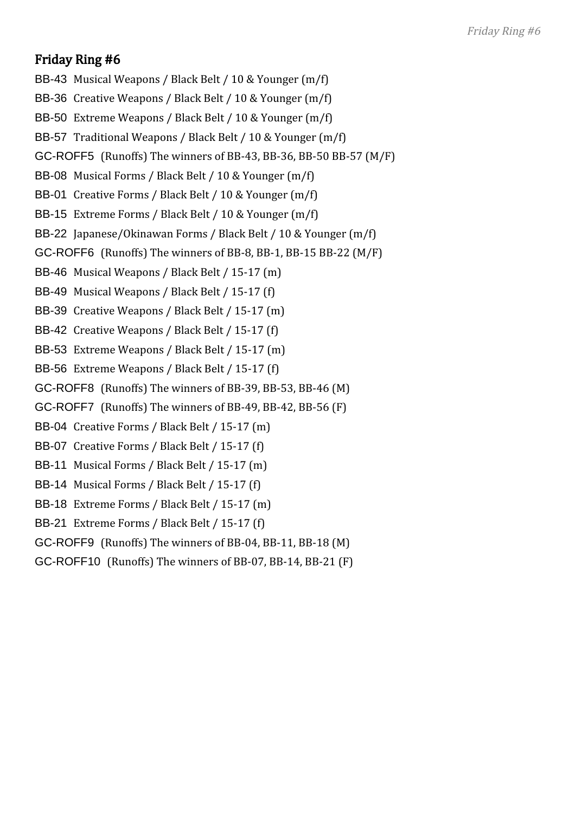- BB-43 Musical Weapons / Black Belt / 10 & Younger (m/f)
- BB-36 Creative Weapons / Black Belt / 10 & Younger (m/f)
- BB-50 Extreme Weapons / Black Belt / 10 & Younger (m/f)
- BB-57 Traditional Weapons / Black Belt / 10 & Younger (m/f)
- GC-ROFF5 (Runoffs) The winners of BB-43, BB-36, BB-50 BB-57 (M/F)
- BB-08 Musical Forms / Black Belt / 10 & Younger (m/f)
- BB-01 Creative Forms / Black Belt / 10 & Younger (m/f)
- BB-15 Extreme Forms / Black Belt / 10 & Younger (m/f)
- BB-22 Japanese/Okinawan Forms / Black Belt / 10 & Younger (m/f)
- GC-ROFF6 (Runoffs) The winners of BB-8, BB-1, BB-15 BB-22 (M/F)
- BB-46 Musical Weapons / Black Belt / 15-17 (m)
- BB-49 Musical Weapons / Black Belt / 15-17 (f)
- BB-39 Creative Weapons / Black Belt / 15-17 (m)
- BB-42 Creative Weapons / Black Belt / 15-17 (f)
- BB-53 Extreme Weapons / Black Belt / 15-17 (m)
- BB-56 Extreme Weapons / Black Belt / 15-17 (f)
- GC-ROFF8 (Runoffs) The winners of BB-39, BB-53, BB-46 (M)
- GC-ROFF7 (Runoffs) The winners of BB-49, BB-42, BB-56 (F)
- BB-04 Creative Forms / Black Belt / 15-17 (m)
- BB-07 Creative Forms / Black Belt / 15-17 (f)
- BB-11 Musical Forms / Black Belt / 15-17 (m)
- BB-14 Musical Forms / Black Belt / 15-17 (f)
- BB-18 Extreme Forms / Black Belt / 15-17 (m)
- BB-21 Extreme Forms / Black Belt / 15-17 (f)
- GC-ROFF9 (Runoffs) The winners of BB-04, BB-11, BB-18 (M)
- GC-ROFF10 (Runoffs) The winners of BB-07, BB-14, BB-21 (F)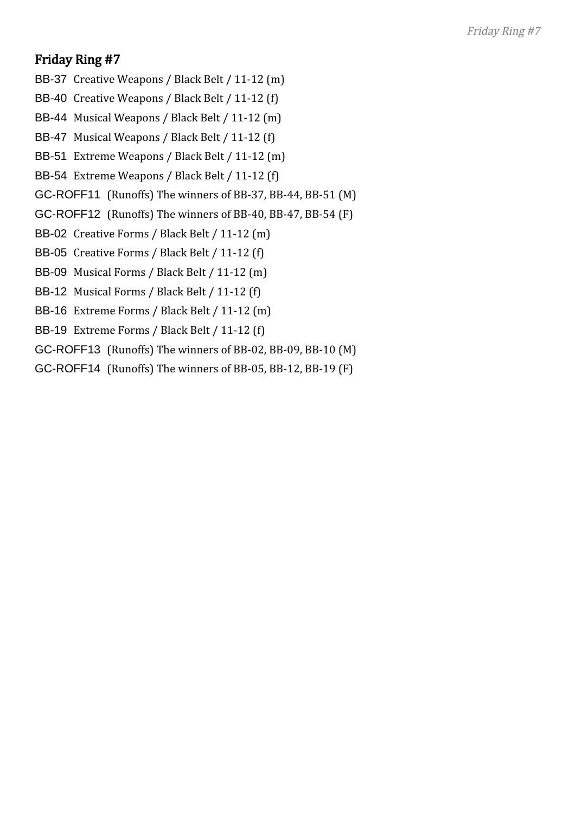- BB-37 Creative Weapons / Black Belt / 11-12 (m)
- BB-40 Creative Weapons / Black Belt / 11-12 (f)
- BB-44 Musical Weapons / Black Belt / 11-12 (m)
- BB-47 Musical Weapons / Black Belt / 11-12 (f)
- BB-51 Extreme Weapons / Black Belt / 11-12 (m)
- BB-54 Extreme Weapons / Black Belt / 11-12 (f)
- GC-ROFF11 (Runoffs) The winners of BB-37, BB-44, BB-51 (M)
- GC-ROFF12 (Runoffs) The winners of BB-40, BB-47, BB-54 (F)
- BB-02 Creative Forms / Black Belt / 11-12 (m)
- BB-05 Creative Forms / Black Belt / 11-12 (f)
- BB-09 Musical Forms / Black Belt / 11-12 (m)
- BB-12 Musical Forms / Black Belt / 11-12 (f)
- BB-16 Extreme Forms / Black Belt / 11-12 (m)
- BB-19 Extreme Forms / Black Belt / 11-12 (f)
- GC-ROFF13 (Runoffs) The winners of BB-02, BB-09, BB-10 (M)
- GC-ROFF14 (Runoffs) The winners of BB-05, BB-12, BB-19 (F)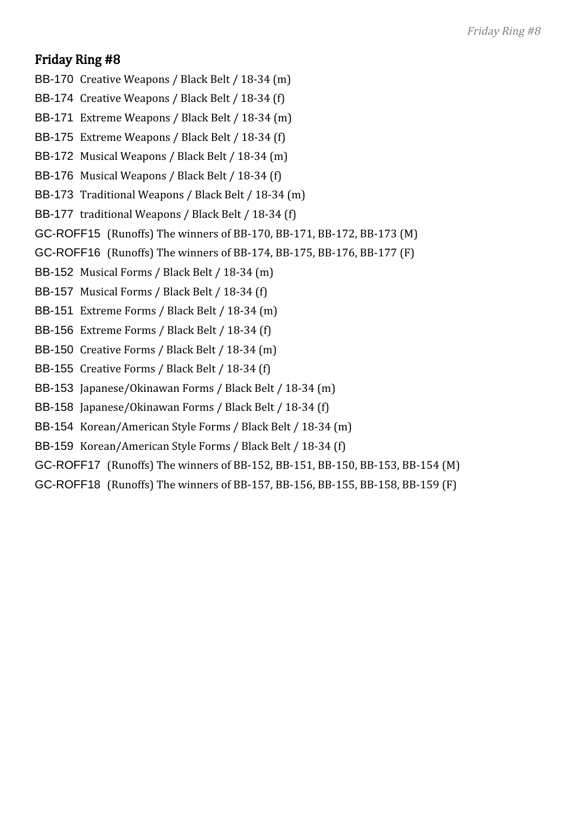- BB-170 Creative Weapons / Black Belt / 18-34 (m)
- BB-174 Creative Weapons / Black Belt / 18-34 (f)
- BB-171 Extreme Weapons / Black Belt / 18-34 (m)
- BB-175 Extreme Weapons / Black Belt / 18-34 (f)
- BB-172 Musical Weapons / Black Belt / 18-34 (m)
- BB-176 Musical Weapons / Black Belt / 18-34 (f)
- BB-173 Traditional Weapons / Black Belt / 18-34 (m)
- BB-177 traditional Weapons / Black Belt / 18-34 (f)
- GC-ROFF15 (Runoffs) The winners of BB-170, BB-171, BB-172, BB-173 (M)
- GC-ROFF16 (Runoffs) The winners of BB-174, BB-175, BB-176, BB-177 (F)
- BB-152 Musical Forms / Black Belt / 18-34 (m)
- BB-157 Musical Forms / Black Belt / 18-34 (f)
- BB-151 Extreme Forms / Black Belt / 18-34 (m)
- BB-156 Extreme Forms / Black Belt / 18-34 (f)
- BB-150 Creative Forms / Black Belt / 18-34 (m)
- BB-155 Creative Forms / Black Belt / 18-34 (f)
- BB-153 Japanese/Okinawan Forms / Black Belt / 18-34 (m)
- BB-158 Japanese/Okinawan Forms / Black Belt / 18-34 (f)
- BB-154 Korean/American Style Forms / Black Belt / 18-34 (m)
- BB-159 Korean/American Style Forms / Black Belt / 18-34 (f)
- GC-ROFF17 (Runoffs) The winners of BB-152, BB-151, BB-150, BB-153, BB-154 (M)
- GC-ROFF18 (Runoffs) The winners of BB-157, BB-156, BB-155, BB-158, BB-159 (F)